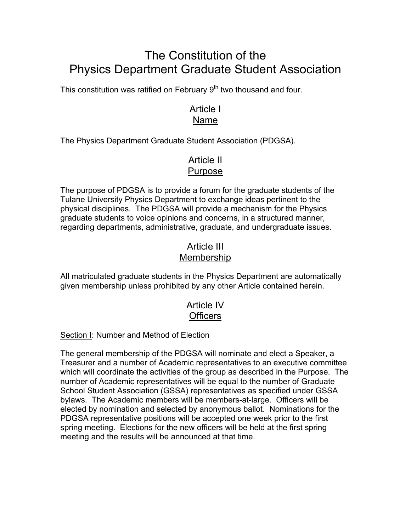# The Constitution of the Physics Department Graduate Student Association

This constitution was ratified on February 9<sup>th</sup> two thousand and four.

# Article I Name

The Physics Department Graduate Student Association (PDGSA).

# Article II Purpose

The purpose of PDGSA is to provide a forum for the graduate students of the Tulane University Physics Department to exchange ideas pertinent to the physical disciplines. The PDGSA will provide a mechanism for the Physics graduate students to voice opinions and concerns, in a structured manner, regarding departments, administrative, graduate, and undergraduate issues.

# Article III Membership

All matriculated graduate students in the Physics Department are automatically given membership unless prohibited by any other Article contained herein.

# Article IV **Officers**

### Section I: Number and Method of Election

The general membership of the PDGSA will nominate and elect a Speaker, a Treasurer and a number of Academic representatives to an executive committee which will coordinate the activities of the group as described in the Purpose. The number of Academic representatives will be equal to the number of Graduate School Student Association (GSSA) representatives as specified under GSSA bylaws. The Academic members will be members-at-large. Officers will be elected by nomination and selected by anonymous ballot. Nominations for the PDGSA representative positions will be accepted one week prior to the first spring meeting. Elections for the new officers will be held at the first spring meeting and the results will be announced at that time.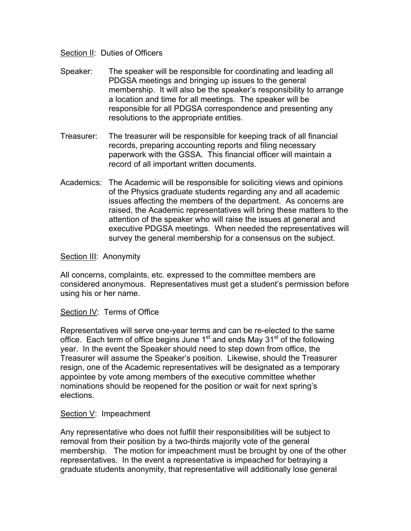#### Section II: Duties of Officers

- Speaker: The speaker will be responsible for coordinating and leading all PDGSA meetings and bringing up issues to the general membership. It will also be the speaker's responsibility to arrange a location and time for all meetings. The speaker will be responsible for all PDGSA correspondence and presenting any resolutions to the appropriate entities.
- Treasurer: The treasurer will be responsible for keeping track of all financial records, preparing accounting reports and filing necessary paperwork with the GSSA. This financial officer will maintain a record of all important written documents.
- Academics: The Academic will be responsible for soliciting views and opinions of the Physics graduate students regarding any and all academic issues affecting the members of the department. As concerns are raised, the Academic representatives will bring these matters to the attention of the speaker who will raise the issues at general and executive PDGSA meetings. When needed the representatives will survey the general membership for a consensus on the subject.

#### Section III: Anonymity

All concerns, complaints, etc. expressed to the committee members are considered anonymous. Representatives must get a student's permission before using his or her name.

#### Section IV: Terms of Office

Representatives will serve one-year terms and can be re-elected to the same office. Each term of office begins June  $1<sup>st</sup>$  and ends May  $31<sup>st</sup>$  of the following year. In the event the Speaker should need to step down from office, the Treasurer will assume the Speaker's position. Likewise, should the Treasurer resign, one of the Academic representatives will be designated as a temporary appointee by vote among members of the executive committee whether nominations should be reopened for the position or wait for next spring's elections.

#### Section V: Impeachment

Any representative who does not fulfill their responsibilities will be subject to removal from their position by a two-thirds majority vote of the general membership. The motion for impeachment must be brought by one of the other representatives. In the event a representative is impeached for betraying a graduate students anonymity, that representative will additionally lose general